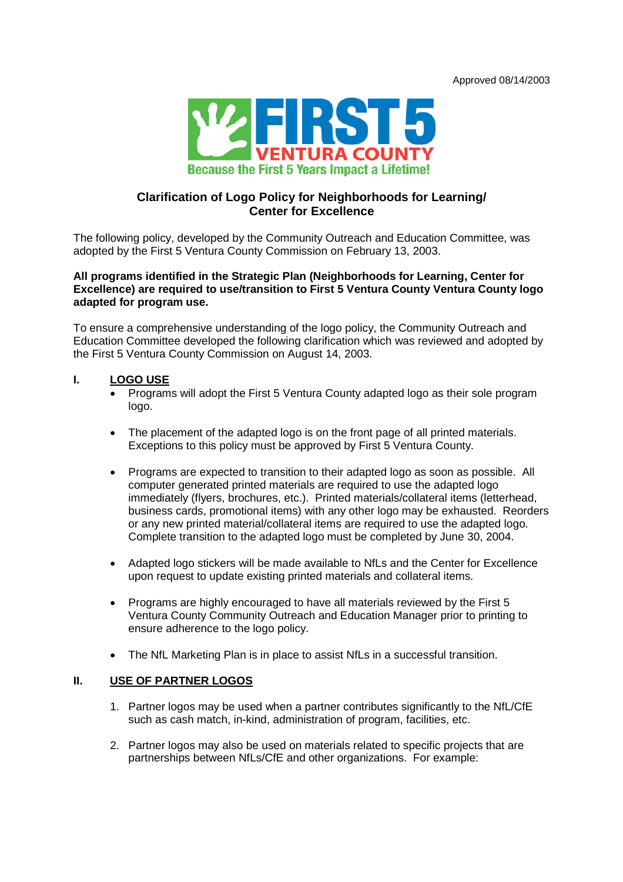

# **Clarification of Logo Policy for Neighborhoods for Learning/ Center for Excellence**

The following policy, developed by the Community Outreach and Education Committee, was adopted by the First 5 Ventura County Commission on February 13, 2003.

## **All programs identified in the Strategic Plan (Neighborhoods for Learning, Center for Excellence) are required to use/transition to First 5 Ventura County Ventura County logo adapted for program use.**

To ensure a comprehensive understanding of the logo policy, the Community Outreach and Education Committee developed the following clarification which was reviewed and adopted by the First 5 Ventura County Commission on August 14, 2003.

## **I. LOGO USE**

- Programs will adopt the First 5 Ventura County adapted logo as their sole program logo.
- The placement of the adapted logo is on the front page of all printed materials. Exceptions to this policy must be approved by First 5 Ventura County.
- Programs are expected to transition to their adapted logo as soon as possible. All computer generated printed materials are required to use the adapted logo immediately (flyers, brochures, etc.). Printed materials/collateral items (letterhead, business cards, promotional items) with any other logo may be exhausted. Reorders or any new printed material/collateral items are required to use the adapted logo. Complete transition to the adapted logo must be completed by June 30, 2004.
- Adapted logo stickers will be made available to NfLs and the Center for Excellence upon request to update existing printed materials and collateral items.
- Programs are highly encouraged to have all materials reviewed by the First 5 Ventura County Community Outreach and Education Manager prior to printing to ensure adherence to the logo policy.
- The NfL Marketing Plan is in place to assist NfLs in a successful transition.

### **II. USE OF PARTNER LOGOS**

- 1. Partner logos may be used when a partner contributes significantly to the NfL/CfE such as cash match, in-kind, administration of program, facilities, etc.
- 2. Partner logos may also be used on materials related to specific projects that are partnerships between NfLs/CfE and other organizations. For example: